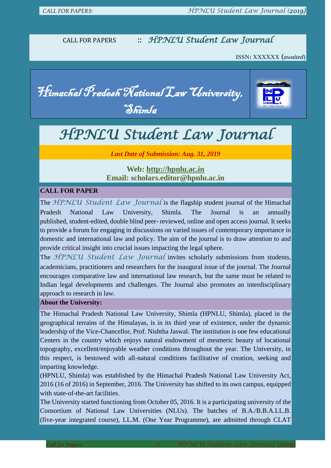CALL FOR PAPERS :: *HPNLU Student Law Journal*

 **ISSN: XXXXXX (***awaited***)**

Himachal Pradesh National Law University, Shimla



# *HPNLU Student Law Journal*

*Last Date of Submission: Aug. 31, 2019*

**Web: [http://hpnlu.ac.in](http://hpnlu.ac.in/) Email: scholars.editor@hpnlu.ac.in**

### **CALL FOR PAPER**

The *HPNLU Student Law Journal* is the flagship student journal of the Himachal Pradesh National Law University, Shimla. The Journal is an annually published, student-edited, double blind peer- reviewed, online and open access journal. It seeks to provide a forum for engaging in discussions on varied issues of contemporary importance in domestic and international law and policy. The aim of the journal is to draw attention to and provide critical insight into crucial issues impacting the legal sphere.

The *HPNLU Student Law Journal* invites scholarly submissions from students, academicians, practitioners and researchers for the inaugural issue of the journal. The Journal encourages comparative law and international law research, but the same must be related to Indian legal developments and challenges. The Journal also promotes an interdisciplinary approach to research in law.

#### **About the University:**

The Himachal Pradesh National Law University, Shimla (HPNLU, Shimla), placed in the geographical terrains of the Himalayas, is in its third year of existence, under the dynamic leadership of the Vice-Chancellor, Prof. Nishtha Jaswal. The institution is one few educational Centers in the country which enjoys natural endowment of mesmeric beauty of locational topography, excellent/enjoyable weather conditions throughout the year. The University, in this respect, is bestowed with all-natural conditions facilitative of creation, seeking and imparting knowledge.

(HPNLU, Shimla) was established by the Himachal Pradesh National Law University Act, 2016 (16 of 2016) in September, 2016. The University has shifted to its own campus, equipped with state-of-the-art facilities.

The University started functioning from October 05, 2016. It is a participating university of the Consortium of National Law Universities (NLUs). The batches of B.A./B.B.A.LL.B. (five-year integrated course), LL.M. (One Year Programme), are admitted through CLAT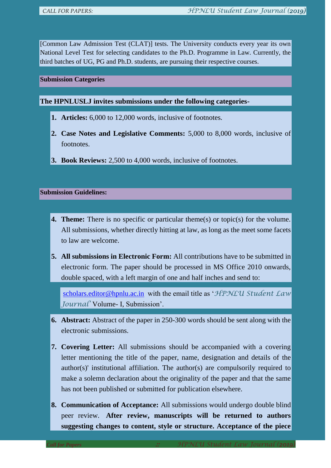[Common Law Admission Test (CLAT)] tests. The University conducts every year its own National Level Test for selecting candidates to the Ph.D. Programme in Law. Currently, the third batches of UG, PG and Ph.D. students, are pursuing their respective courses.

#### **Submission Categories**

**The HPNLUSLJ invites submissions under the following categories-**

- **1. Articles:** 6,000 to 12,000 words, inclusive of footnotes.
- **2. Case Notes and Legislative Comments:** 5,000 to 8,000 words, inclusive of footnotes.
- **3. Book Reviews:** 2,500 to 4,000 words, inclusive of footnotes.

## **Submission Guidelines:**

- **4. Theme:** There is no specific or particular theme(s) or topic(s) for the volume. All submissions, whether directly hitting at law, as long as the meet some facets to law are welcome.
- **5. All submissions in Electronic Form:** All contributions have to be submitted in electronic form. The paper should be processed in MS Office 2010 onwards, double spaced, with a left margin of one and half inches and send to:

[scholars.editor@hpnlu.ac.in](mailto:scholars.editor@hpnlu.ac.in) with the email title as '*HPNLU Student Law Journal'* Volume- I, Submission'.

- **6. Abstract:** Abstract of the paper in 250-300 words should be sent along with the electronic submissions.
- **7. Covering Letter:** All submissions should be accompanied with a covering letter mentioning the title of the paper, name, designation and details of the author(s)' institutional affiliation. The author(s) are compulsorily required to make a solemn declaration about the originality of the paper and that the same has not been published or submitted for publication elsewhere.
- **8. Communication of Acceptance:** All submissions would undergo double blind peer review. **After review, manuscripts will be returned to authors suggesting changes to content, style or structure. Acceptance of the piece**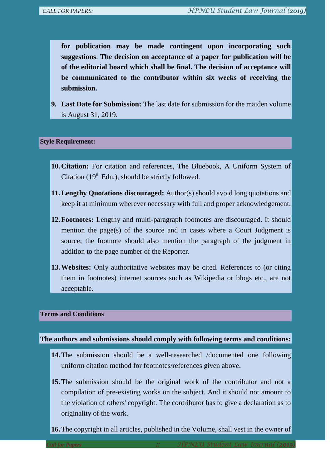**for publication may be made contingent upon incorporating such suggestions**. **The decision on acceptance of a paper for publication will be of the editorial board which shall be final. The decision of acceptance will be communicated to the contributor within six weeks of receiving the submission.**

**9. Last Date for Submission:** The last date for submission for the maiden volume is August 31, 2019.

#### **Style Requirement:**

- **10.Citation:** For citation and references, The Bluebook, A Uniform System of Citation  $(19<sup>th</sup>$  Edn.), should be strictly followed.
- **11.Lengthy Quotations discouraged:** Author(s) should avoid long quotations and keep it at minimum wherever necessary with full and proper acknowledgement.
- **12.Footnotes:** Lengthy and multi-paragraph footnotes are discouraged. It should mention the page(s) of the source and in cases where a Court Judgment is source; the footnote should also mention the paragraph of the judgment in addition to the page number of the Reporter.
- **13. Websites:** Only authoritative websites may be cited. References to (or citing them in footnotes) internet sources such as Wikipedia or blogs etc., are not acceptable.

## **Terms and Conditions**

### **The authors and submissions should comply with following terms and conditions:**

- **14.**The submission should be a well-researched /documented one following uniform citation method for footnotes/references given above.
- **15.**The submission should be the original work of the contributor and not a compilation of pre-existing works on the subject. And it should not amount to the violation of others' copyright. The contributor has to give a declaration as to originality of the work.
- **16.**The copyright in all articles, published in the Volume, shall vest in the owner of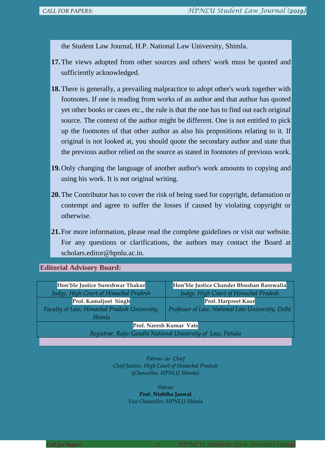the Student Law Journal, H.P. National Law University, Shimla.

- **17.**The views adopted from other sources and others' work must be quoted and sufficiently acknowledged.
- **18.**There is generally, a prevailing malpractice to adopt other's work together with footnotes. If one is reading from works of an author and that author has quoted yet other books or cases etc., the rule is that the one has to find out each original source. The context of the author might be different. One is not entitled to pick up the footnotes of that other author as also his propositions relating to it. If original is not looked at, you should quote the secondary author and state that the previous author relied on the source as stated in footnotes of previous work.
- **19.**Only changing the language of another author's work amounts to copying and using his work. It is not original writing.
- **20.**The Contributor has to cover the risk of being sued for copyright, defamation or contempt and agree to suffer the losses if caused by violating copyright or otherwise.
- **21.**For more information, please read the complete guidelines or visit our website. For any questions or clarifications, the authors may contact the Board at scholars.editor@hpnlu.ac.in.

### **Editorial Advisory Board:**

| Hon'ble Justice Sureshwar Thakur                            | Hon'ble Justice Chander Bhushan Barowalia        |
|-------------------------------------------------------------|--------------------------------------------------|
| Judge, High Court of Himachal Pradesh                       | Judge, High Court of Himachal Pradesh            |
| Prof. Kamaljeet Singh                                       | Prof. Harpreet Kaur                              |
| Faculty of Law, Himachal Pradesh University,                | Professor of Law, National Law University, Delhi |
| <i>Shimla</i>                                               |                                                  |
| Prof. Naresh Kumar Vats                                     |                                                  |
| Registrar, Rajiv Gandhi National University of Law, Patiala |                                                  |

*Patron- in- Chief Chief Justice, High Court of Himachal Pradesh* (*Chancellor, HPNLU Shimla*)

> *Patron* **Prof. Nishtha Jaswal** *Vice Chancellor, HPNLU Shimla*